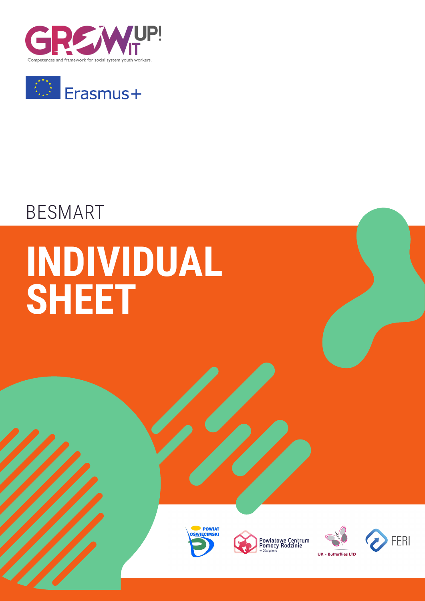



## BESMART

# **INDIVIDUAL SHEET**







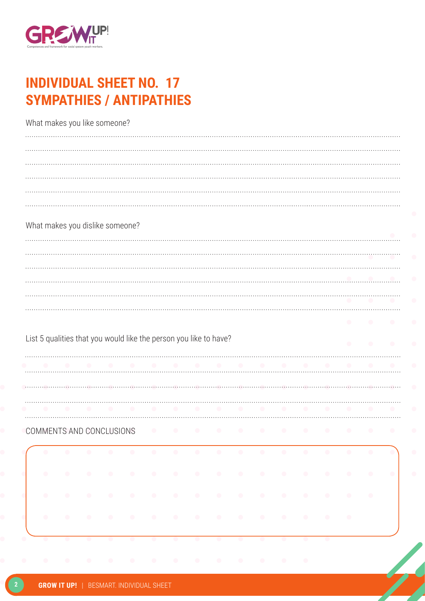

### **INDIVIDUAL SHEET NO. 17 SYMPATHIES / ANTIPATHIES**

|           |           |           | What makes you like someone?    |                               |           |           |                                                                   |           |           |           |           |                 |           |           |                 |                   |           |
|-----------|-----------|-----------|---------------------------------|-------------------------------|-----------|-----------|-------------------------------------------------------------------|-----------|-----------|-----------|-----------|-----------------|-----------|-----------|-----------------|-------------------|-----------|
|           |           |           |                                 |                               |           |           |                                                                   |           |           |           |           |                 |           |           |                 |                   |           |
|           |           |           |                                 |                               |           |           |                                                                   |           |           |           |           |                 |           |           |                 |                   |           |
|           |           |           |                                 |                               |           |           |                                                                   |           |           |           |           |                 |           |           |                 |                   |           |
|           |           |           |                                 |                               |           |           |                                                                   |           |           |           |           |                 |           |           |                 |                   |           |
|           |           |           | What makes you dislike someone? |                               |           |           |                                                                   |           |           |           |           |                 |           |           |                 |                   |           |
|           |           |           |                                 |                               |           |           |                                                                   |           |           |           |           |                 |           |           |                 |                   |           |
|           |           |           |                                 |                               |           |           |                                                                   |           |           |           |           |                 |           |           |                 |                   |           |
|           |           |           |                                 |                               |           |           |                                                                   |           |           |           |           |                 |           |           |                 |                   |           |
|           |           |           |                                 |                               |           |           |                                                                   |           |           |           |           |                 |           |           |                 |                   |           |
|           |           |           |                                 |                               |           |           |                                                                   |           |           |           |           |                 |           |           |                 |                   |           |
|           |           |           |                                 |                               |           |           | List 5 qualities that you would like the person you like to have? |           |           |           |           |                 |           |           |                 |                   |           |
|           |           |           | $\sim$ $\sim$                   |                               |           |           | <b>Contract Contract Contract</b>                                 |           | a ser     |           | $\sim$    |                 | $\sim$    |           | $\sim$          | $\sim$            |           |
|           |           |           |                                 |                               |           |           |                                                                   |           |           |           |           |                 |           |           |                 |                   |           |
|           |           |           |                                 |                               |           |           |                                                                   |           |           |           |           |                 |           |           |                 |                   |           |
|           |           |           | COMMENTS AND CONCLUSIONS        |                               |           | $\bullet$ |                                                                   | $\bullet$ | $\bullet$ | $\bullet$ | $\bullet$ | $\bullet$       | $\bullet$ |           |                 | $\bullet$         | $\bullet$ |
| $\bullet$ | $\bullet$ | $\bullet$ |                                 | $\bullet$ $\bullet$ $\bullet$ |           |           |                                                                   |           |           |           |           |                 |           |           | $\bullet$       | $\bullet$<br>- 01 |           |
| $\bullet$ | $\bullet$ | $\bullet$ | $\bullet$                       |                               |           |           |                                                                   |           |           |           |           |                 | $\bullet$ | $\bullet$ | $\sim$ 0 $\sim$ | $\bullet$ .       | $\bullet$ |
| $\bullet$ | $\bullet$ | $\bullet$ | $\bullet$                       |                               |           |           |                                                                   |           |           |           |           | $\sim$ 0 $\sim$ |           | $\bullet$ | $\bullet$       |                   |           |
| $\bullet$ |           |           |                                 |                               |           |           |                                                                   |           |           |           | <u>.</u>  |                 |           |           |                 |                   |           |
| $\bullet$ | $\bullet$ | $\bullet$ | $\bullet$                       | $\bullet$                     | $\bullet$ | $\bullet$ | $\bullet$                                                         | $\bullet$ | $\bullet$ | $\bullet$ | $\bullet$ | $\bullet$       | $\bullet$ |           |                 |                   |           |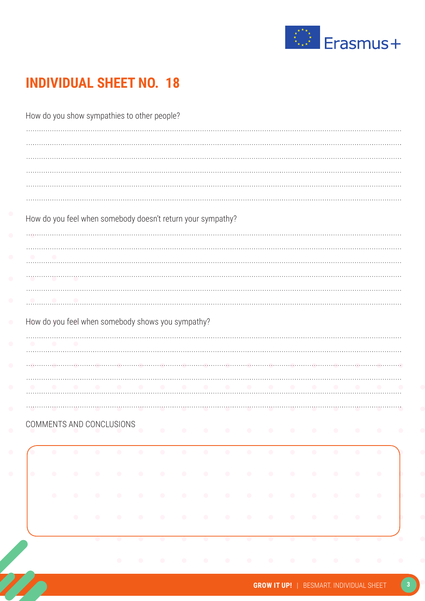

| How do you show sympathies to other people? |            |            |                                                   |            |            |            |           |                                                             |                          |           |           |           |           |                  |                                                           |           |
|---------------------------------------------|------------|------------|---------------------------------------------------|------------|------------|------------|-----------|-------------------------------------------------------------|--------------------------|-----------|-----------|-----------|-----------|------------------|-----------------------------------------------------------|-----------|
|                                             |            |            |                                                   |            |            |            |           |                                                             |                          |           |           |           |           |                  |                                                           |           |
|                                             |            |            |                                                   |            |            |            |           |                                                             |                          |           |           |           |           |                  |                                                           |           |
|                                             |            |            |                                                   |            |            |            |           |                                                             |                          |           |           |           |           |                  |                                                           |           |
|                                             |            |            |                                                   |            |            |            |           |                                                             |                          |           |           |           |           |                  |                                                           |           |
|                                             |            |            |                                                   |            |            |            |           | How do you feel when somebody doesn't return your sympathy? |                          |           |           |           |           |                  |                                                           |           |
|                                             |            |            |                                                   |            |            |            |           |                                                             |                          |           |           |           |           |                  |                                                           |           |
|                                             |            |            |                                                   |            |            |            |           |                                                             |                          |           |           |           |           |                  |                                                           |           |
|                                             | $\sim$ 0   |            |                                                   |            |            |            |           |                                                             |                          |           |           |           |           |                  |                                                           |           |
|                                             |            |            |                                                   |            |            |            |           |                                                             |                          |           |           |           |           |                  |                                                           |           |
|                                             |            |            |                                                   |            |            |            |           |                                                             |                          |           |           |           |           |                  |                                                           |           |
|                                             |            |            |                                                   |            |            |            |           |                                                             |                          |           |           |           |           |                  |                                                           |           |
|                                             |            |            | How do you feel when somebody shows you sympathy? |            |            |            |           |                                                             |                          |           |           |           |           |                  |                                                           |           |
|                                             |            |            |                                                   |            |            |            |           |                                                             |                          |           |           |           |           |                  |                                                           |           |
|                                             |            |            |                                                   |            |            |            |           |                                                             |                          |           |           |           |           |                  |                                                           |           |
|                                             |            |            |                                                   |            |            |            |           |                                                             |                          |           |           |           |           |                  |                                                           |           |
|                                             |            |            |                                                   |            |            |            |           |                                                             |                          |           |           |           |           |                  |                                                           |           |
|                                             |            |            |                                                   |            |            |            |           |                                                             |                          |           |           |           |           |                  |                                                           |           |
|                                             |            |            |                                                   |            |            |            |           |                                                             |                          |           |           |           |           |                  | COMMENTS AND CONCLUSIONS CONTROL COMMENTS AND CONCLUSIONS |           |
|                                             | $\bullet$  | $\bigcirc$ | $\bigcirc$                                        | $\bigcirc$ | $\bigcirc$ | $\bigcirc$ | $\bullet$ | $\bullet$                                                   | $\bullet$                | $\bullet$ | $\bullet$ | $\bullet$ | $\bullet$ | $\bullet$        | $\bullet$                                                 | $\bullet$ |
|                                             |            |            |                                                   |            |            |            |           |                                                             |                          |           |           |           |           |                  |                                                           |           |
|                                             | $\bullet$  | $\bigcirc$ | $\bigcirc$                                        | $\bigcirc$ | $\bigcirc$ | $\bullet$  |           | $\bullet$                                                   | $\bullet$                | $\bullet$ | $\bullet$ | $\bullet$ | $\bullet$ | $\bullet$        | $\bullet$                                                 | $\bullet$ |
|                                             | $\bigcirc$ | $\bullet$  | $\bigcirc$                                        | $\bullet$  | $\bullet$  | $\bullet$  |           | $\bullet$                                                   | $\overline{\phantom{a}}$ | $\bullet$ | $\bullet$ | $\bullet$ | $\bullet$ | $\bullet$        | $\hat{\mathcal{O}}$                                       | $\bullet$ |
| $\overline{\phantom{a}}$                    |            | $\bullet$  | $\bullet$                                         |            | $\bullet$  | $\bullet$  |           | $\bullet$                                                   |                          |           |           | $\sim$    | $\bullet$ | $\sim$ 0 $^{-1}$ | $\bullet$                                                 | $\bullet$ |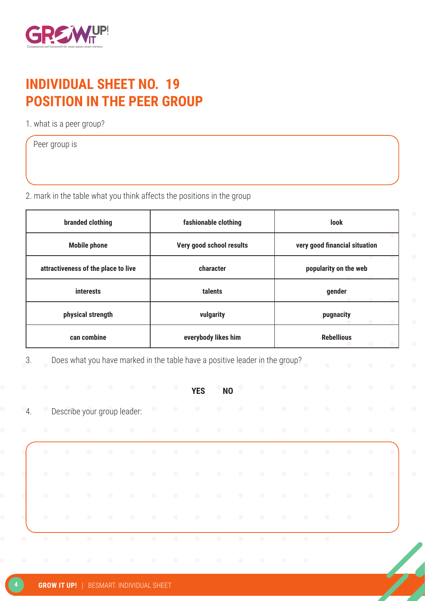

#### **INDIVIDUAL SHEET NO. 19 POSITION IN THE PEER GROUP**

1. what is a peer group?

Peer group is

2. mark in the table what you think affects the positions in the group

| branded clothing                    | fashionable clothing     | <b>look</b>                   |
|-------------------------------------|--------------------------|-------------------------------|
| <b>Mobile phone</b>                 | Very good school results | very good financial situation |
| attractiveness of the place to live | character                | popularity on the web         |
| <b>interests</b>                    | talents                  | gender                        |
| physical strength                   | vulgarity                | pugnacity                     |
| can combine                         | everybody likes him      | <b>Rebellious</b>             |

3. Does what you have marked in the table have a positive leader in the group?

| $\bullet$ | <b>COLL</b> | $\sim$ 0 $\sim$ | $\sim$ 0 $\sim$ | $\sim$ $\sim$                    | $\overline{\phantom{a}}$         | $\bullet$ | $\bullet$ | <b>YES</b>                                                                                                      | <b>NO</b> |                                   | $\bullet$ . The set of $\bullet$ |                                  |           |                               | $\bullet$ | $\bullet$     | $\bullet$ |
|-----------|-------------|-----------------|-----------------|----------------------------------|----------------------------------|-----------|-----------|-----------------------------------------------------------------------------------------------------------------|-----------|-----------------------------------|----------------------------------|----------------------------------|-----------|-------------------------------|-----------|---------------|-----------|
| $-4.$     |             |                 |                 |                                  | Describe your group leader:      |           |           |                                                                                                                 |           |                                   |                                  |                                  |           |                               |           |               |           |
| $\bullet$ | $\bullet$   | $\bullet$       | $\bullet$       | $\bullet$                        | $\bullet$                        |           |           |                                                                                                                 | $\sim$    |                                   |                                  |                                  |           | $\bullet$ $\bullet$ $\bullet$ |           | $\sim$ $\sim$ |           |
|           | $\bullet$   | $\bullet$       |                 |                                  |                                  |           |           | the contract of the contract of the contract of the contract of the contract of the contract of the contract of |           |                                   |                                  |                                  |           |                               |           | $\sim$ 0      |           |
|           | $\bullet$   | $\bullet$       | $\bullet$       | $\bullet$ . The set of $\bullet$ | $\bullet$ . The set of $\bullet$ |           |           |                                                                                                                 |           |                                   |                                  |                                  |           |                               |           | $\sim$ 0      | $\bullet$ |
|           | $\bullet$   | $\bullet$       |                 |                                  |                                  |           |           | the contract of the contract of the contract of the contract of the contract of the contract of the contract of |           |                                   |                                  |                                  |           |                               |           | $\sim$ 0      |           |
|           | $\bullet$   | $\bullet$       | $\bullet$       | $\bullet$                        | $\bullet$ . The set of $\bullet$ |           |           |                                                                                                                 |           |                                   |                                  | $\bullet$                        | $\bullet$ | $\bullet$                     | $\sim$ 0  |               |           |
| $\bullet$ |             |                 | $\bullet$       | $\bullet$                        |                                  |           |           |                                                                                                                 |           | <b>Contract Contract Contract</b> | $\bullet$ . The set of $\bullet$ | $\bullet$ . The set of $\bullet$ |           |                               |           |               |           |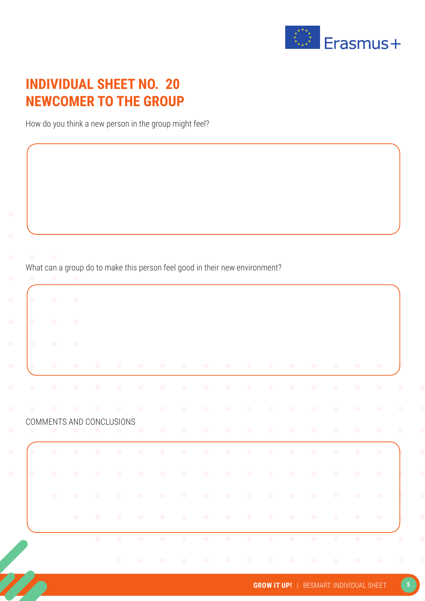

#### **INDIVIDUAL SHEET NO. 20 NEWCOMER TO THE GROUP**

How do you think a new person in the group might feel?

What can a group do to make this person feel good in their new environment?

| $\bullet$ | $\bullet$ | $\bullet$ |                          |               |                          |           |           |           |           |                        |                        |                   |                     |                        |                        |                        |
|-----------|-----------|-----------|--------------------------|---------------|--------------------------|-----------|-----------|-----------|-----------|------------------------|------------------------|-------------------|---------------------|------------------------|------------------------|------------------------|
| $\bullet$ | $\bullet$ | $\bullet$ |                          |               |                          |           |           |           |           |                        |                        |                   |                     |                        |                        |                        |
| $\bullet$ | $\bullet$ | $\bullet$ |                          |               |                          |           |           |           |           |                        |                        | <b>CONTRACTOR</b> | $\sim$ 0.000 $\sim$ |                        | $\bullet$              | $\sim$ 0               |
| $\bullet$ | $\bullet$ | $\bullet$ |                          |               |                          |           |           |           | $\bullet$ |                        | $\bullet$              | $\bullet$         | $\bullet$           | $\bullet$              | $\bullet$              | $\bullet$              |
|           |           | $\bullet$ | $\bullet$                | $\sim$ $\sim$ | $\overline{\phantom{a}}$ | $\bullet$ | $\bullet$ | $\bullet$ |           |                        |                        | $\bullet$         |                     | $\bullet$              | $\bullet$              |                        |
|           |           |           | COMMENTS AND CONCLUSIONS |               |                          |           |           |           |           |                        |                        |                   |                     |                        |                        |                        |
| $\bullet$ | $\bullet$ | $\bullet$ | $\bullet$                | $\bullet$     | $\bullet$                | $\bullet$ | $\bullet$ | $\bullet$ | $\bullet$ | $\bullet$<br>$\bullet$ | $\bullet$<br>$\bullet$ | $\bullet$         | $\bullet$           | $\bullet$<br>$\bullet$ | $\bullet$<br>$\bullet$ | $\bullet$<br>$\bullet$ |
| $\bullet$ | $\bullet$ | $\bullet$ | $\bullet$                | $\bullet$     | $\bullet$                | $\bullet$ |           |           |           |                        |                        | $\bullet$         |                     | $\bullet$              | $\bullet$              | $\bullet$              |
|           | $\bullet$ | $\bullet$ | $\bullet$                | $\bullet$     | $\bullet$                |           |           |           |           |                        |                        |                   |                     | $\bullet$              | $\bullet$              | $\bullet$              |
|           |           | $\bullet$ |                          | $\bullet$     | $\bullet$                |           | $\bullet$ | $\bullet$ | $\bullet$ | $\bullet$              |                        | $\bullet$         |                     |                        | $\bullet$              | $\bullet$              |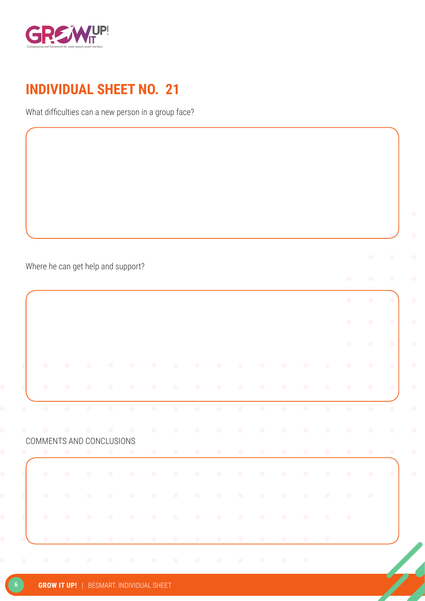

What difficulties can a new person in a group face?

Where he can get help and support?

COMMENTS AND CONCLUSIONS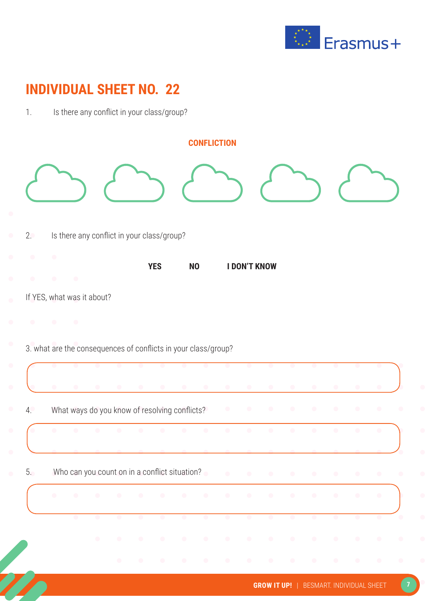

|    | <b>CONFLICTION</b>                                                                                              |            |                        |           |                |           |                 |                  |
|----|-----------------------------------------------------------------------------------------------------------------|------------|------------------------|-----------|----------------|-----------|-----------------|------------------|
|    |                                                                                                                 |            |                        |           |                |           |                 |                  |
| 2. | Is there any conflict in your class/group?                                                                      |            |                        |           |                |           |                 |                  |
|    | <b>YES</b><br><b>NO</b>                                                                                         |            | <b>I DON'T KNOW</b>    |           |                |           |                 |                  |
|    |                                                                                                                 |            |                        |           |                |           |                 |                  |
|    |                                                                                                                 |            |                        |           |                |           |                 |                  |
|    | If YES, what was it about?                                                                                      |            |                        |           |                |           |                 |                  |
|    |                                                                                                                 |            |                        |           |                |           |                 |                  |
|    | 3. what are the consequences of conflicts in your class/group?                                                  |            |                        |           |                |           |                 |                  |
|    |                                                                                                                 |            |                        |           |                |           |                 |                  |
|    |                                                                                                                 |            |                        |           |                |           |                 |                  |
|    | What ways do you know of resolving conflicts?                                                                   | $\bigcirc$ | $\bullet$<br>$\bullet$ | $\bullet$ | $\bullet$      |           | $\bullet$       | $\bullet$        |
| 4. | $\bullet$<br>$\bullet$                                                                                          | $\bullet$  | $\bullet$<br>$\bullet$ | $\bullet$ | $\bullet$      | $\bullet$ | $\bullet$       | $\bullet$        |
|    |                                                                                                                 |            |                        |           |                |           |                 |                  |
| 5. | Who can you count on in a conflict situation? $\bullet$ and $\bullet$ and $\bullet$ and $\bullet$ and $\bullet$ |            |                        |           | $\sim 10^{-1}$ | $\sim$    | $\sim$ 0 $\sim$ | $\sim$ 000 $\pm$ |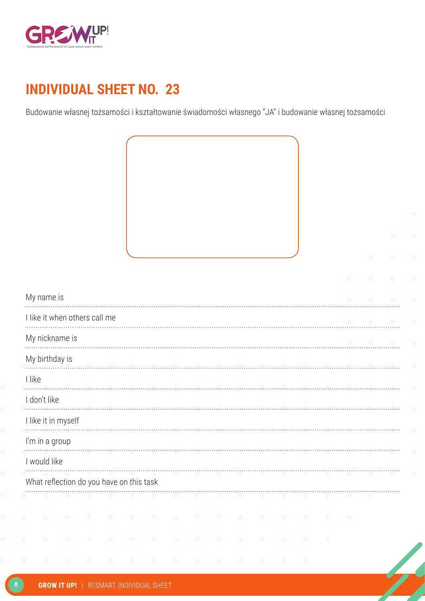

Budowanie własnej tożsamości i kształtowanie świadomości własnego "JA" i budowanie własnej tożsamości



What reflection do you have on this task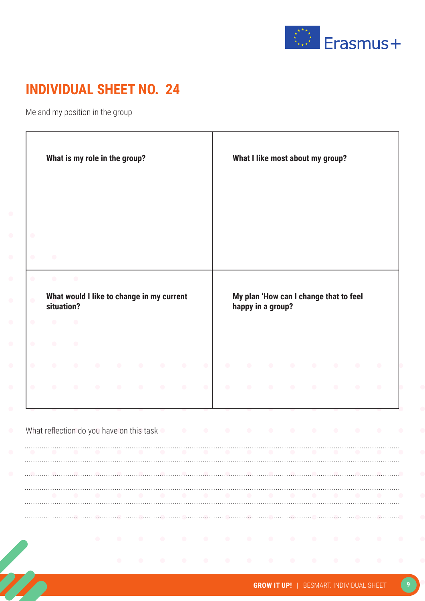

Me and my position in the group

|           |                                          |           | What is my role in the group?             |           |           |           |           |           | What I like most about my group?                            |           |           |           |           |
|-----------|------------------------------------------|-----------|-------------------------------------------|-----------|-----------|-----------|-----------|-----------|-------------------------------------------------------------|-----------|-----------|-----------|-----------|
|           |                                          |           |                                           |           |           |           |           |           |                                                             |           |           |           |           |
| $\bullet$ |                                          |           |                                           |           |           |           |           |           |                                                             |           |           |           |           |
| $\bullet$ | $\bullet$                                | $\bullet$ |                                           |           |           |           |           |           |                                                             |           |           |           |           |
| $\bullet$ | situation?                               |           | What would I like to change in my current |           |           |           |           |           | My plan 'How can I change that to feel<br>happy in a group? |           |           |           |           |
| $\bullet$ |                                          |           |                                           |           |           |           |           |           |                                                             |           |           |           |           |
| $\bullet$ |                                          |           |                                           |           |           |           |           |           |                                                             |           |           |           |           |
| $\bullet$ |                                          |           |                                           |           |           | $\bullet$ |           |           |                                                             | $\bullet$ | $\bullet$ |           |           |
| $\bullet$ |                                          |           |                                           | $\bullet$ | $\bullet$ | $\bullet$ | $\bullet$ | $\bullet$ |                                                             | $\bullet$ |           |           | $\bullet$ |
|           |                                          |           |                                           |           |           |           |           |           |                                                             |           |           |           |           |
|           | What reflection do you have on this task |           |                                           |           |           |           |           |           | $\bullet$                                                   | $\bullet$ | $\bullet$ | $\bullet$ |           |
|           |                                          |           |                                           |           |           |           |           |           |                                                             |           |           |           |           |
|           |                                          |           |                                           |           |           |           |           |           |                                                             |           |           |           |           |
|           |                                          |           |                                           |           |           |           |           |           |                                                             |           |           |           |           |
|           |                                          |           |                                           |           |           |           |           |           |                                                             |           |           |           |           |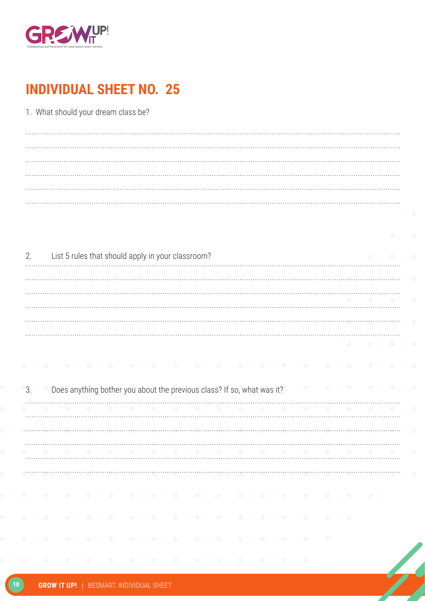

| 1. What should your dream class be? |  |
|-------------------------------------|--|
|                                     |  |
|                                     |  |
|                                     |  |
|                                     |  |
|                                     |  |
|                                     |  |

| $\mathcal{P}$ | List 5 rules that should apply in your classroom? |  |
|---------------|---------------------------------------------------|--|
|               |                                                   |  |
|               |                                                   |  |
|               |                                                   |  |
|               |                                                   |  |
|               |                                                   |  |

|  | Does anything bother you about the previous class? If so, what was it? |  |  |  |  |  |  |  |  |
|--|------------------------------------------------------------------------|--|--|--|--|--|--|--|--|
|  |                                                                        |  |  |  |  |  |  |  |  |
|  |                                                                        |  |  |  |  |  |  |  |  |
|  |                                                                        |  |  |  |  |  |  |  |  |
|  |                                                                        |  |  |  |  |  |  |  |  |

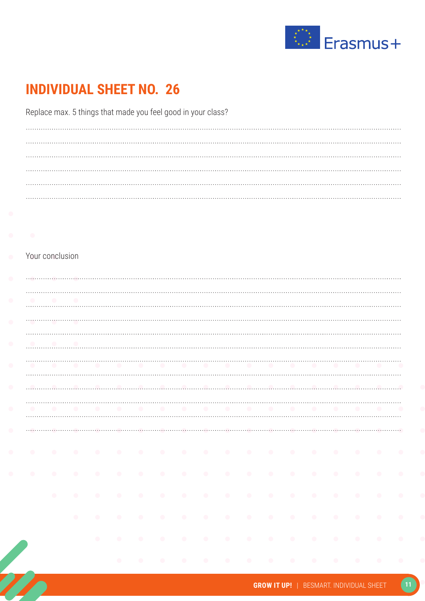

Replace max. 5 things that made you feel good in your class?

#### Your conclusion

| $\bullet$                           |           |           |           |  |  |   |  |  |  |                   |  |
|-------------------------------------|-----------|-----------|-----------|--|--|---|--|--|--|-------------------|--|
| $\bullet$                           |           |           |           |  |  |   |  |  |  |                   |  |
| $\bullet$                           |           |           |           |  |  |   |  |  |  |                   |  |
|                                     |           |           |           |  |  |   |  |  |  |                   |  |
| $\bullet$                           |           |           |           |  |  |   |  |  |  |                   |  |
| $\bullet$                           |           |           | .         |  |  |   |  |  |  |                   |  |
| $\bullet$                           |           |           |           |  |  |   |  |  |  |                   |  |
| $\bullet$                           |           |           | .         |  |  |   |  |  |  |                   |  |
|                                     |           |           |           |  |  |   |  |  |  |                   |  |
|                                     |           |           |           |  |  |   |  |  |  |                   |  |
|                                     |           |           |           |  |  |   |  |  |  |                   |  |
|                                     | $\bullet$ |           | .         |  |  |   |  |  |  |                   |  |
| $\bullet$<br>$\bullet$<br>$\bullet$ | $\bullet$ |           | .         |  |  |   |  |  |  | $\sim$ 0          |  |
|                                     |           | $\bullet$ | .         |  |  |   |  |  |  |                   |  |
|                                     |           |           | $\bullet$ |  |  | . |  |  |  | $\sim$ 000 $\sim$ |  |
|                                     |           |           |           |  |  | . |  |  |  |                   |  |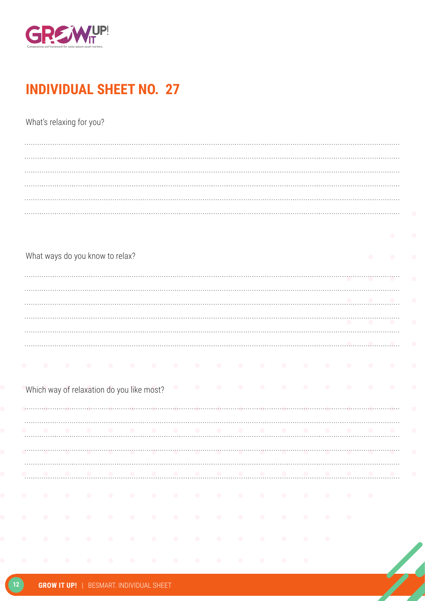

What's relaxing for you?

|           |           | What ways do you know to relax?           |           |          |           |           |           |           |           |   |           | $\bullet$ |           |           |
|-----------|-----------|-------------------------------------------|-----------|----------|-----------|-----------|-----------|-----------|-----------|---|-----------|-----------|-----------|-----------|
|           |           |                                           |           |          |           |           |           |           |           |   |           |           |           |           |
|           |           |                                           |           |          |           |           |           |           |           |   |           |           |           |           |
|           |           |                                           |           |          |           |           |           |           |           |   |           |           |           |           |
|           |           |                                           |           |          |           |           |           |           |           |   |           |           |           | $\bullet$ |
|           |           |                                           |           |          |           |           |           |           |           |   |           |           |           |           |
|           |           |                                           |           |          |           |           |           |           |           |   |           |           |           |           |
| $\bullet$ | $\bullet$ |                                           | $\bullet$ | $\sim$ 0 |           |           | $\bullet$ | $\bullet$ | $\bullet$ |   | $\bullet$ | $\bullet$ |           | $\bullet$ |
|           |           | Which way of relaxation do you like most? |           |          | $\bullet$ | $\bullet$ | $\bullet$ |           | $\bullet$ |   | $\bullet$ | $\bullet$ | $\bullet$ | $\bullet$ |
|           |           |                                           |           |          |           |           |           |           |           |   |           |           |           |           |
|           |           |                                           |           |          |           |           |           |           |           | . |           |           |           | $\bullet$ |
|           |           |                                           |           |          |           |           |           |           |           |   |           |           |           |           |
|           |           |                                           |           |          |           |           |           |           |           |   |           |           |           |           |
|           |           |                                           |           |          |           |           |           |           |           |   |           |           |           |           |
|           |           |                                           |           |          |           |           |           |           |           | . |           |           |           |           |
|           |           |                                           |           |          |           |           |           |           |           |   |           |           |           |           |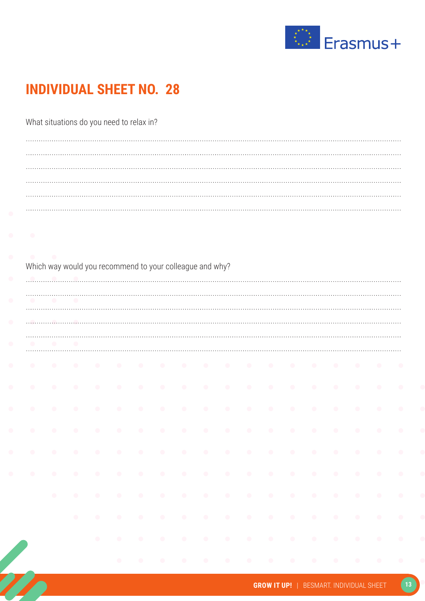

#### What situations do you need to relax in?

| $\bullet$ | $\bullet$ | $\bullet$ |           |           |           |           |           |           |           |           |           |           |           |           |           |           |
|-----------|-----------|-----------|-----------|-----------|-----------|-----------|-----------|-----------|-----------|-----------|-----------|-----------|-----------|-----------|-----------|-----------|
| $\bullet$ | $\bullet$ |           | $\bullet$ |           | $\bullet$ |           |           |           | $\bullet$ | $\bullet$ |           | $\bullet$ | $\bullet$ |           |           |           |
| $\bullet$ | $\bullet$ | $\bullet$ | $\bullet$ | $\bullet$ | $\bullet$ | $\bullet$ | $\bullet$ | $\bullet$ | $\bullet$ | $\bullet$ | $\bullet$ | $\bullet$ | $\bullet$ | $\bullet$ | $\bullet$ | $\bullet$ |
| $\bullet$ | $\bullet$ | $\bullet$ | $\bullet$ |           | $\bullet$ |           |           | $\bullet$ | $\bullet$ | $\bullet$ | $\bullet$ | $\bullet$ | $\bullet$ |           | $\bullet$ | $\bullet$ |
| $\bullet$ | $\bullet$ | $\bullet$ | $\bullet$ | $\bullet$ | $\bullet$ | $\bullet$ | $\bullet$ | $\bullet$ | $\bullet$ | $\bullet$ | $\bullet$ | $\bullet$ | $\bullet$ | $\bullet$ | $\bullet$ | $\bullet$ |
| $\bullet$ | $\bullet$ | $\bullet$ | $\bullet$ | $\bullet$ | $\bullet$ | $\bullet$ | $\bullet$ | $\bullet$ | $\bullet$ | $\bullet$ | $\bullet$ | $\bullet$ | $\bullet$ | $\bullet$ | $\bullet$ | $\bullet$ |
| $\bullet$ | $\bullet$ | $\bullet$ | $\bullet$ | $\bullet$ | $\bullet$ | $\bullet$ | $\bullet$ | $\bullet$ | $\bullet$ | $\bullet$ | $\bullet$ | $\bullet$ | $\bullet$ | $\bullet$ | $\bullet$ |           |
|           | $\bullet$ | $\bullet$ | $\bullet$ | $\bullet$ | $\bullet$ | $\bullet$ | $\bullet$ | $\bullet$ | $\bullet$ | $\bullet$ | $\bullet$ | $\bullet$ | $\bullet$ | $\bullet$ | $\bullet$ | $\bullet$ |
|           |           | $\bullet$ | $\bullet$ | $\bullet$ | $\bullet$ | $\bullet$ | $\bullet$ | $\bullet$ |           |           | $\bullet$ | $\bullet$ | $\bullet$ | $\bullet$ |           | $\bullet$ |
|           |           |           |           |           |           |           |           |           |           |           |           |           |           |           |           |           |